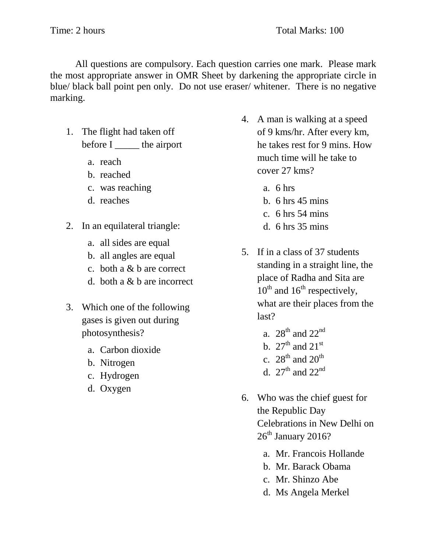All questions are compulsory. Each question carries one mark. Please mark the most appropriate answer in OMR Sheet by darkening the appropriate circle in blue/ black ball point pen only. Do not use eraser/ whitener. There is no negative marking.

- 1. The flight had taken off before I \_\_\_\_\_\_ the airport
	- a. reach
	- b. reached
	- c. was reaching
	- d. reaches
- 2. In an equilateral triangle:
	- a. all sides are equal
	- b. all angles are equal
	- c. both a & b are correct
	- d. both a & b are incorrect
- 3. Which one of the following gases is given out during photosynthesis?
	- a. Carbon dioxide
	- b. Nitrogen
	- c. Hydrogen
	- d. Oxygen
- 4. A man is walking at a speed of 9 kms/hr. After every km, he takes rest for 9 mins. How much time will he take to cover 27 kms?
	- a. 6 hrs
	- b. 6 hrs 45 mins
	- c. 6 hrs 54 mins
	- d. 6 hrs 35 mins
- 5. If in a class of 37 students standing in a straight line, the place of Radha and Sita are  $10^{th}$  and  $16^{th}$  respectively, what are their places from the last?
	- a.  $28<sup>th</sup>$  and  $22<sup>nd</sup>$
	- b.  $27<sup>th</sup>$  and  $21<sup>st</sup>$
	- c.  $28<sup>th</sup>$  and  $20<sup>th</sup>$
	- d.  $27<sup>th</sup>$  and  $22<sup>nd</sup>$
- 6. Who was the chief guest for the Republic Day Celebrations in New Delhi on  $26<sup>th</sup>$  January 2016?
	- a. Mr. Francois Hollande
	- b. Mr. Barack Obama
	- c. Mr. Shinzo Abe
	- d. Ms Angela Merkel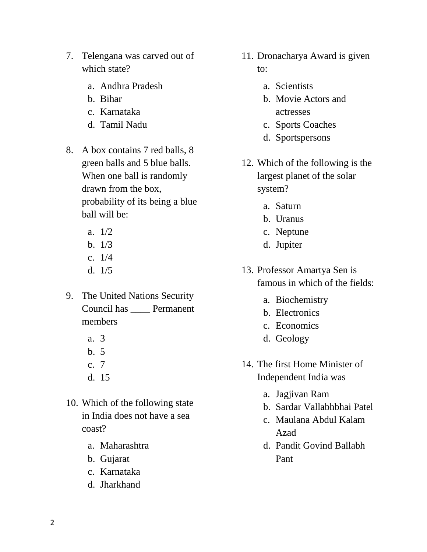- 7. Telengana was carved out of which state?
	- a. Andhra Pradesh
	- b. Bihar
	- c. Karnataka
	- d. Tamil Nadu
- 8. A box contains 7 red balls, 8 green balls and 5 blue balls. When one ball is randomly drawn from the box, probability of its being a blue ball will be:
	- a. 1/2
	- b. 1/3
	- c. 1/4
	- d. 1/5
- 9. The United Nations Security Council has \_\_\_\_ Permanent members
	- a. 3 b. 5
	- c. 7
	- d. 15
- 10. Which of the following state in India does not have a sea coast?
	- a. Maharashtra
	- b. Gujarat
	- c. Karnataka
	- d. Jharkhand
- 11. Dronacharya Award is given to:
	- a. Scientists
	- b. Movie Actors and actresses
	- c. Sports Coaches
	- d. Sportspersons
- 12. Which of the following is the largest planet of the solar system?
	- a. Saturn
	- b. Uranus
	- c. Neptune
	- d. Jupiter
- 13. Professor Amartya Sen is famous in which of the fields:
	- a. Biochemistry
	- b. Electronics
	- c. Economics
	- d. Geology
- 14. The first Home Minister of Independent India was
	- a. Jagjivan Ram
	- b. Sardar Vallabhbhai Patel
	- c. Maulana Abdul Kalam Azad
	- d. Pandit Govind Ballabh Pant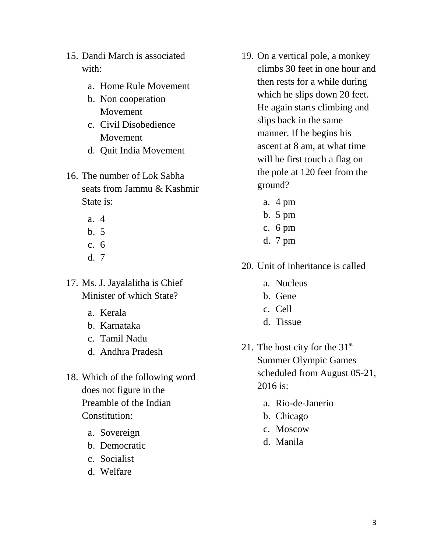- 15. Dandi March is associated with:
	- a. Home Rule Movement
	- b. Non cooperation Movement
	- c. Civil Disobedience Movement
	- d. Quit India Movement
- 16. The number of Lok Sabha seats from Jammu & Kashmir State is:
	- a. 4 b. 5
	- c. 6
	- d. 7
- 17. Ms. J. Jayalalitha is Chief Minister of which State?
	- a. Kerala
	- b. Karnataka
	- c. Tamil Nadu
	- d. Andhra Pradesh
- 18. Which of the following word does not figure in the Preamble of the Indian Constitution:
	- a. Sovereign
	- b. Democratic
	- c. Socialist
	- d. Welfare
- 19. On a vertical pole, a monkey climbs 30 feet in one hour and then rests for a while during which he slips down 20 feet. He again starts climbing and slips back in the same manner. If he begins his ascent at 8 am, at what time will he first touch a flag on the pole at 120 feet from the ground?
	- a. 4 pm
	- b. 5 pm
	- c. 6 pm
	- d. 7 pm
- 20. Unit of inheritance is called
	- a. Nucleus
	- b. Gene
	- c. Cell
	- d. Tissue
- 21. The host city for the  $31<sup>st</sup>$ Summer Olympic Games scheduled from August 05-21, 2016 is:
	- a. Rio-de-Janerio
	- b. Chicago
	- c. Moscow
	- d. Manila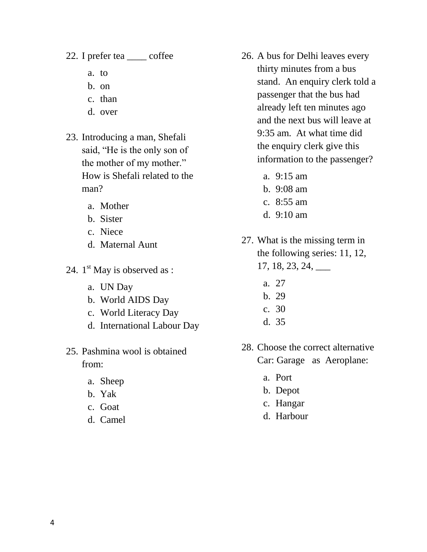22. I prefer tea \_\_\_\_ coffee

- a. to
- b. on
- c. than
- d. over
- 23. Introducing a man, Shefali said, "He is the only son of the mother of my mother." How is Shefali related to the man?
	- a. Mother
	- b. Sister
	- c. Niece
	- d. Maternal Aunt
- 24.  $1<sup>st</sup>$  May is observed as :
	- a. UN Day
	- b. World AIDS Day
	- c. World Literacy Day
	- d. International Labour Day
- 25. Pashmina wool is obtained from:
	- a. Sheep
	- b. Yak
	- c. Goat
	- d. Camel
- 26. A bus for Delhi leaves every thirty minutes from a bus stand. An enquiry clerk told a passenger that the bus had already left ten minutes ago and the next bus will leave at 9:35 am. At what time did the enquiry clerk give this information to the passenger?
	- a. 9:15 am
	- b. 9:08 am
	- c. 8:55 am
	- d. 9:10 am
- 27. What is the missing term in the following series: 11, 12, 17, 18, 23, 24,  $\_\_$ 
	- a. 27
	- b. 29
	- c. 30
	- d. 35
- 28. Choose the correct alternative Car: Garage as Aeroplane:
	- a. Port
	- b. Depot
	- c. Hangar
	- d. Harbour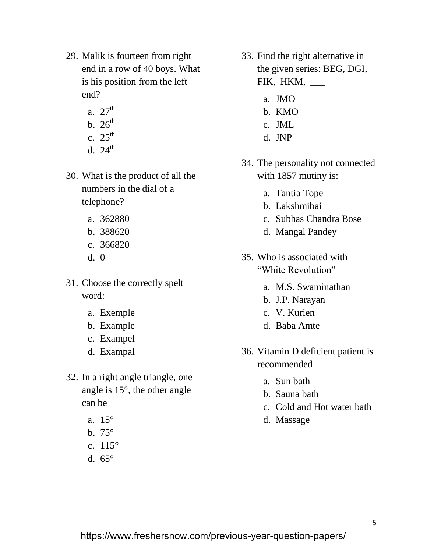- 29. Malik is fourteen from right end in a row of 40 boys. What is his position from the left end?
	- a. 27<sup>th</sup>
	- b.  $26^{th}$
	- c.  $25^{th}$
	- d.  $24^{th}$
- 30. What is the product of all the numbers in the dial of a telephone?
	- a. 362880
	- b. 388620
	- c. 366820
	- d. 0
- 31. Choose the correctly spelt word:
	- a. Exemple
	- b. Example
	- c. Exampel
	- d. Exampal
- 32. In a right angle triangle, one angle is 15°, the other angle can be
	- a. 15°
	- b. 75°
	- c. 115°
	- d. 65°
- 33. Find the right alternative in the given series: BEG, DGI, FIK, HKM,
	- a. JMO
	- b. KMO
	- c. JML
	- d. JNP
- 34. The personality not connected with 1857 mutiny is:
	- a. Tantia Tope
	- b. Lakshmibai
	- c. Subhas Chandra Bose
	- d. Mangal Pandey
- 35. Who is associated with "White Revolution"
	- a. M.S. Swaminathan
	- b. J.P. Narayan
	- c. V. Kurien
	- d. Baba Amte
- 36. Vitamin D deficient patient is recommended
	- a. Sun bath
	- b. Sauna bath
	- c. Cold and Hot water bath
	- d. Massage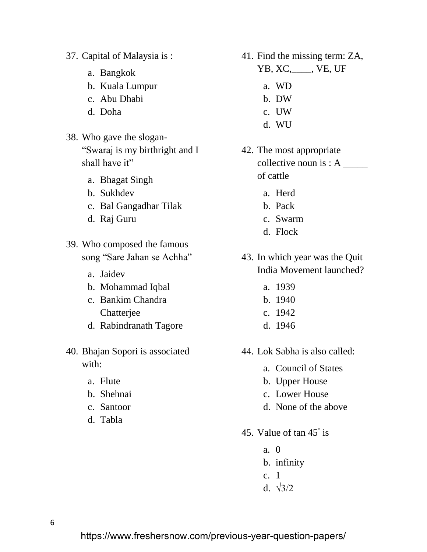- 37. Capital of Malaysia is :
	- a. Bangkok
	- b. Kuala Lumpur
	- c. Abu Dhabi
	- d. Doha
- 38. Who gave the slogan- "Swaraj is my birthright and I shall have it"
	- a. Bhagat Singh
	- b. Sukhdev
	- c. Bal Gangadhar Tilak
	- d. Raj Guru
- 39. Who composed the famous song "Sare Jahan se Achha"
	- a. Jaidev
	- b. Mohammad Iqbal
	- c. Bankim Chandra Chatterjee
	- d. Rabindranath Tagore
- 40. Bhajan Sopori is associated with:
	- a. Flute
	- b. Shehnai
	- c. Santoor
	- d. Tabla
- 41. Find the missing term: ZA, YB, XC,\_\_\_\_, VE, UF
	- a. WD
	- b. DW
	- c. UW
	- d. WU
- 42. The most appropriate collective noun is :  $A$  \_\_\_\_\_\_\_\_ of cattle
	- a. Herd
	- b. Pack
	- c. Swarm
	- d. Flock
- 43. In which year was the Quit India Movement launched?
	- a. 1939
	- b. 1940
	- c. 1942
	- d. 1946
- 44. Lok Sabha is also called:
	- a. Council of States
	- b. Upper House
	- c. Lower House
	- d. None of the above
- 45. Value of tan 45<sup>°</sup> is
	- a. 0
	- b. infinity
	- c. 1
	- d.  $\sqrt{3}/2$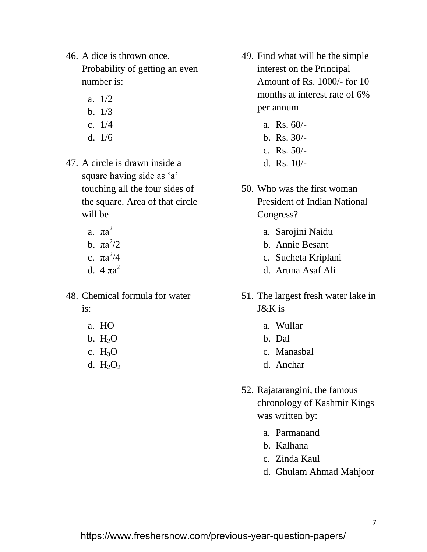46. A dice is thrown once.

Probability of getting an even number is:

- a. 1/2
- b. 1/3
- c. 1/4
- d. 1/6
- 47. A circle is drawn inside a square having side as 'a' touching all the four sides of the square. Area of that circle will be
	- a.  $\pi a^2$ b.  $\pi a^2/2$ c.  $\pi a^2/4$ d.  $4 \pi a^2$
- 48. Chemical formula for water is:
	- a. HO b.  $H_2O$
	- c.  $H_3O$
	- d.  $H_2O_2$
- 49. Find what will be the simple interest on the Principal Amount of Rs. 1000/- for 10 months at interest rate of 6% per annum
	- a. Rs. 60/-
	- b. Rs. 30/-
	- c. Rs. 50/-
	- d. Rs. 10/-
- 50. Who was the first woman President of Indian National Congress?
	- a. Sarojini Naidu
	- b. Annie Besant
	- c. Sucheta Kriplani
	- d. Aruna Asaf Ali
- 51. The largest fresh water lake in J&K is
	- a. Wullar
	- b. Dal
	- c. Manasbal
	- d. Anchar
- 52. Rajatarangini, the famous chronology of Kashmir Kings was written by:
	- a. Parmanand
	- b. Kalhana
	- c. Zinda Kaul
	- d. Ghulam Ahmad Mahjoor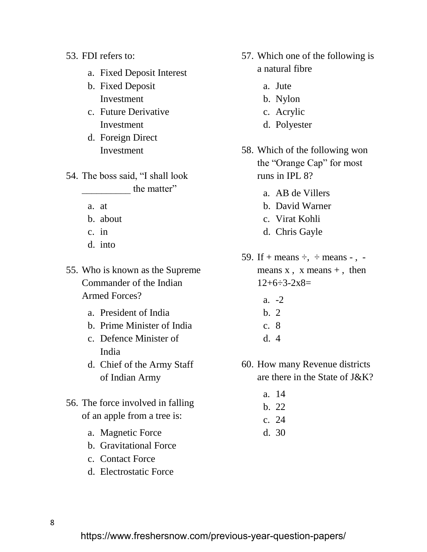- 53. FDI refers to:
	- a. Fixed Deposit Interest
	- b. Fixed Deposit Investment
	- c. Future Derivative Investment
	- d. Foreign Direct Investment
- 54. The boss said, "I shall look the matter"
	- a. at
	- b. about
	- c. in
	- d. into
- 55. Who is known as the Supreme Commander of the Indian Armed Forces?
	- a. President of India
	- b. Prime Minister of India
	- c. Defence Minister of India
	- d. Chief of the Army Staff of Indian Army
- 56. The force involved in falling of an apple from a tree is:
	- a. Magnetic Force
	- b. Gravitational Force
	- c. Contact Force
	- d. Electrostatic Force
- 57. Which one of the following is a natural fibre
	- a. Jute
	- b. Nylon
	- c. Acrylic
	- d. Polyester
- 58. Which of the following won the "Orange Cap" for most runs in IPL 8?
	- a. AB de Villers
	- b. David Warner
	- c. Virat Kohli
	- d. Chris Gayle
- 59. If + means  $\div$ ,  $\div$  means , means  $x$ ,  $x$  means  $+$ , then  $12+6-3-2x8=$ 
	- a. -2
	- b. 2
	- c. 8
	- d. 4
- 60. How many Revenue districts are there in the State of J&K?
	- a. 14
	- b. 22
	- c. 24
	- d. 30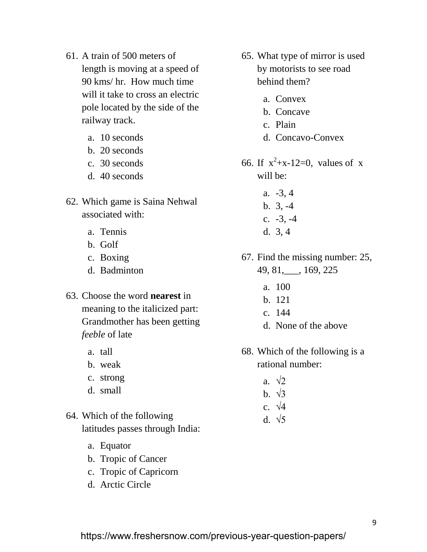- 61. A train of 500 meters of length is moving at a speed of 90 kms/ hr. How much time will it take to cross an electric pole located by the side of the railway track.
	- a. 10 seconds
	- b. 20 seconds
	- c. 30 seconds
	- d. 40 seconds
- 62. Which game is Saina Nehwal associated with:
	- a. Tennis
	- b. Golf
	- c. Boxing
	- d. Badminton
- 63. Choose the word **nearest** in meaning to the italicized part: Grandmother has been getting *feeble* of late
	- a. tall
	- b. weak
	- c. strong
	- d. small
- 64. Which of the following latitudes passes through India:
	- a. Equator
	- b. Tropic of Cancer
	- c. Tropic of Capricorn
	- d. Arctic Circle
- 65. What type of mirror is used by motorists to see road behind them?
	- a. Convex
	- b. Concave
	- c. Plain
	- d. Concavo-Convex
- 66. If  $x^2+x-12=0$ , values of x will be:
	- a. -3, 4
	- b. 3, -4
	- c. -3, -4
	- d. 3, 4
- 67. Find the missing number: 25, 49, 81,\_\_\_, 169, 225
	- a. 100
	- b. 121
	- c. 144
	- d. None of the above
- 68. Which of the following is a rational number:
	- a  $\sqrt{2}$
	- b.  $\sqrt{3}$
	- c. √4
	- d. √5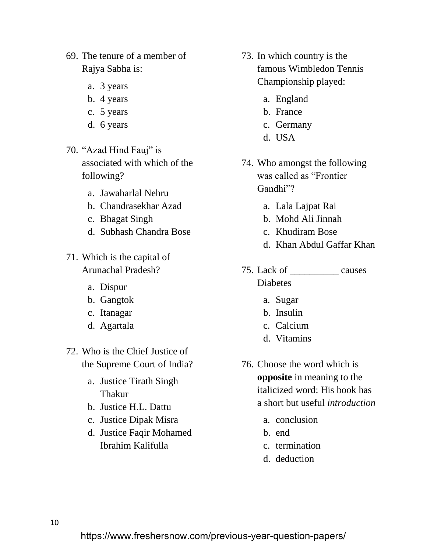- 69. The tenure of a member of Rajya Sabha is:
	- a. 3 years
	- b. 4 years
	- c. 5 years
	- d. 6 years
- 70. "Azad Hind Fauj" is associated with which of the following?
	- a. Jawaharlal Nehru
	- b. Chandrasekhar Azad
	- c. Bhagat Singh
	- d. Subhash Chandra Bose
- 71. Which is the capital of Arunachal Pradesh?
	- a. Dispur
	- b. Gangtok
	- c. Itanagar
	- d. Agartala
- 72. Who is the Chief Justice of the Supreme Court of India?
	- a. Justice Tirath Singh Thakur
	- b. Justice H.L. Dattu
	- c. Justice Dipak Misra
	- d. Justice Faqir Mohamed Ibrahim Kalifulla
- 73. In which country is the famous Wimbledon Tennis Championship played:
	- a. England
	- b. France
	- c. Germany
	- d. USA
- 74. Who amongst the following was called as "Frontier Gandhi"?
	- a. Lala Lajpat Rai
	- b. Mohd Ali Jinnah
	- c. Khudiram Bose
	- d. Khan Abdul Gaffar Khan
- 75. Lack of \_\_\_\_\_\_\_\_\_\_ causes **Diabetes** 
	- a. Sugar
	- b. Insulin
	- c. Calcium
	- d. Vitamins
- 76. Choose the word which is **opposite** in meaning to the italicized word: His book has a short but useful *introduction*
	- a. conclusion
	- b. end
	- c. termination
	- d. deduction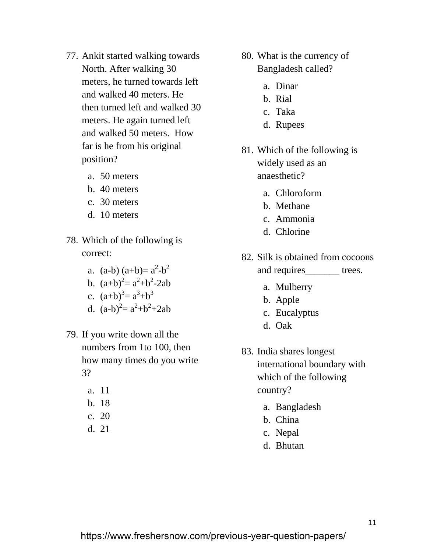- 77. Ankit started walking towards North. After walking 30 meters, he turned towards left and walked 40 meters. He then turned left and walked 30 meters. He again turned left and walked 50 meters. How far is he from his original position?
	- a. 50 meters
	- b. 40 meters
	- c. 30 meters
	- d. 10 meters
- 78. Which of the following is correct:
	- a.  $(a-b) (a+b)= a^2-b^2$ b.  $(a+b)^2 = a^2+b^2-2ab$ c.  $(a+b)^3 = a^3+b^3$ d.  $(a-b)^2 = a^2+b^2+2ab$
- 79. If you write down all the numbers from 1to 100, then how many times do you write 3?
	- a. 11
	- b. 18
	- c. 20
	- d. 21
- 80. What is the currency of Bangladesh called?
	- a. Dinar
	- b. Rial
	- c. Taka
	- d. Rupees
- 81. Which of the following is widely used as an anaesthetic?
	- a. Chloroform
	- b. Methane
	- c. Ammonia
	- d. Chlorine
- 82. Silk is obtained from cocoons and requires\_\_\_\_\_\_\_ trees.
	- a. Mulberry
	- b. Apple
	- c. Eucalyptus
	- d. Oak
- 83. India shares longest international boundary with which of the following country?
	- a. Bangladesh
	- b. China
	- c. Nepal
	- d. Bhutan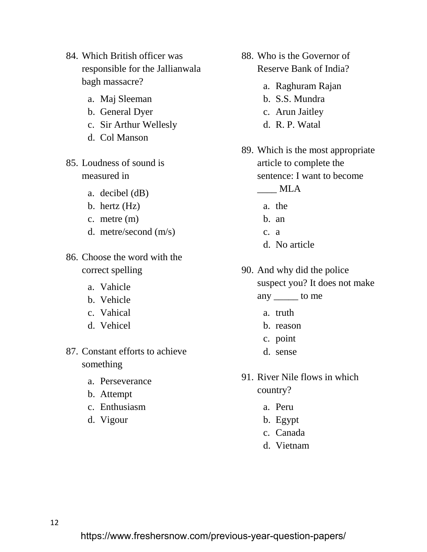- 84. Which British officer was responsible for the Jallianwala bagh massacre?
	- a. Maj Sleeman
	- b. General Dyer
	- c. Sir Arthur Wellesly
	- d. Col Manson
- 85. Loudness of sound is measured in
	- a. decibel (dB)
	- b. hertz (Hz)
	- c. metre (m)
	- d. metre/second (m/s)
- 86. Choose the word with the correct spelling
	- a. Vahicle
	- b. Vehicle
	- c. Vahical
	- d. Vehicel
- 87. Constant efforts to achieve something
	- a. Perseverance
	- b. Attempt
	- c. Enthusiasm
	- d. Vigour
- 88. Who is the Governor of Reserve Bank of India?
	- a. Raghuram Rajan
	- b. S.S. Mundra
	- c. Arun Jaitley
	- d. R. P. Watal
- 89. Which is the most appropriate article to complete the sentence: I want to become
	- \_\_\_\_ MLA
	- a. the
	- b. an
	- c. a
	- d. No article
- 90. And why did the police suspect you? It does not make any \_\_\_\_\_ to me
	- a. truth
	- b. reason
	- c. point
	- d. sense
- 91. River Nile flows in which country?
	- a. Peru
	- b. Egypt
	- c. Canada
	- d. Vietnam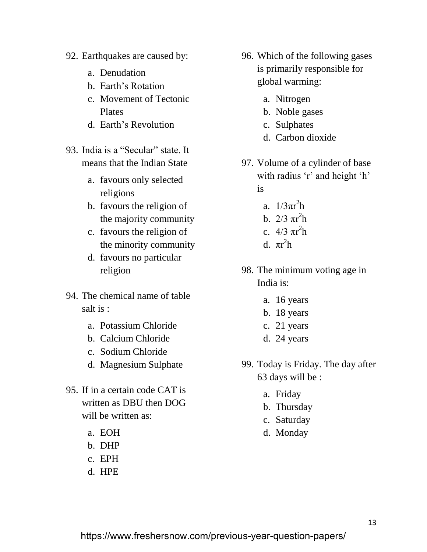- 92. Earthquakes are caused by:
	- a. Denudation
	- b. Earth"s Rotation
	- c. Movement of Tectonic Plates
	- d. Earth"s Revolution
- 93. India is a "Secular" state. It means that the Indian State
	- a. favours only selected religions
	- b. favours the religion of the majority community
	- c. favours the religion of the minority community
	- d. favours no particular religion
- 94. The chemical name of table salt is :
	- a. Potassium Chloride
	- b. Calcium Chloride
	- c. Sodium Chloride
	- d. Magnesium Sulphate
- 95. If in a certain code CAT is written as DBU then DOG will be written as:
	- a. EOH
	- b. DHP
	- c. EPH
	- d. HPE
- 96. Which of the following gases is primarily responsible for global warming:
	- a. Nitrogen
	- b. Noble gases
	- c. Sulphates
	- d. Carbon dioxide
- 97. Volume of a cylinder of base with radius 'r' and height 'h' is
	- a.  $1/3\pi r^2 h$
	- b.  $2/3 \pi r^2 h$
	- c.  $4/3 \pi r^2 h$
	- d.  $\pi r^2 h$
- 98. The minimum voting age in India is:
	- a. 16 years
	- b. 18 years
	- c. 21 years
	- d. 24 years
- 99. Today is Friday. The day after 63 days will be :
	- a. Friday
	- b. Thursday
	- c. Saturday
	- d. Monday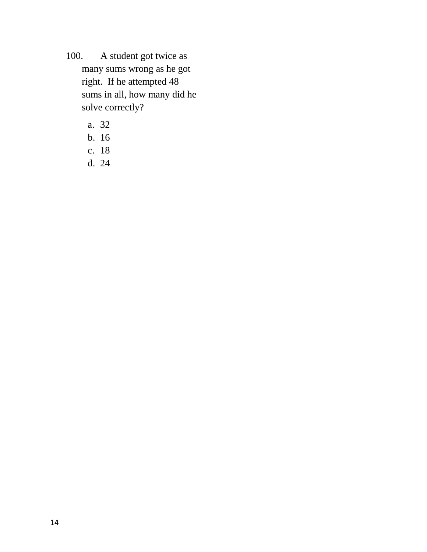100. A student got twice as many sums wrong as he got right. If he attempted 48 sums in all, how many did he solve correctly?

- a. 32
- b. 16
- c. 18
- d. 24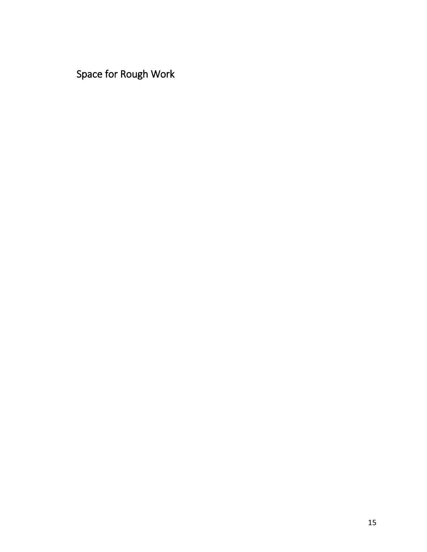Space for Rough Work